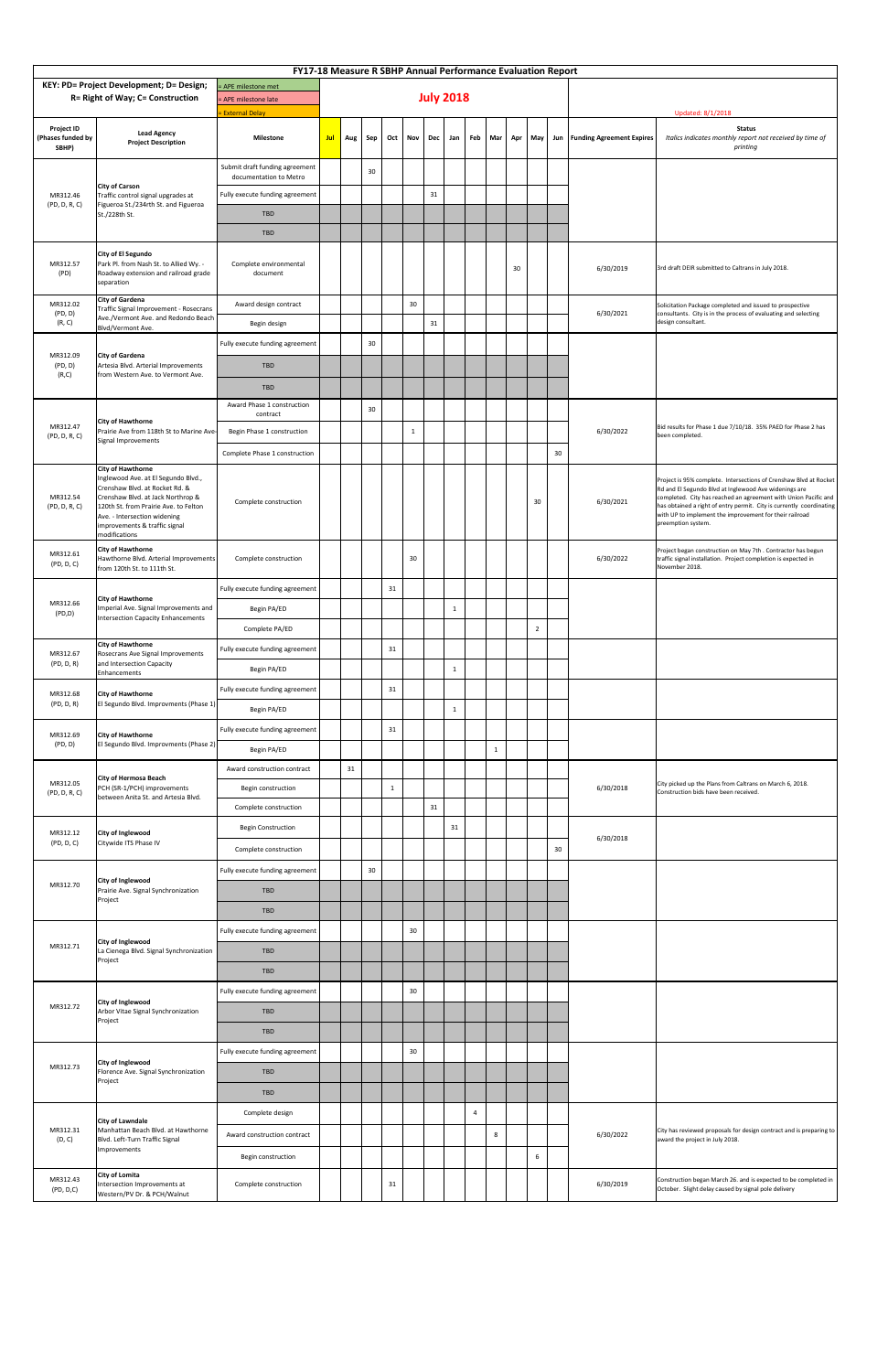|                                                 |                                                                                                                                                                                                                                       | <b>FY17-18 Measure R SBHP Annual Performance Evaluation Report</b>   |                  |     |     |          |            |     |              |                |              |     |                |                 |                                 |                                                                                                                                                                                                                                                                                                                                                        |
|-------------------------------------------------|---------------------------------------------------------------------------------------------------------------------------------------------------------------------------------------------------------------------------------------|----------------------------------------------------------------------|------------------|-----|-----|----------|------------|-----|--------------|----------------|--------------|-----|----------------|-----------------|---------------------------------|--------------------------------------------------------------------------------------------------------------------------------------------------------------------------------------------------------------------------------------------------------------------------------------------------------------------------------------------------------|
|                                                 | KEY: PD= Project Development; D= Design;<br><b>R= Right of Way; C= Construction</b>                                                                                                                                                   | = APE milestone met<br>= APE milestone late<br><b>External Delay</b> | <b>July 2018</b> |     |     |          |            |     |              |                |              |     |                |                 | Updated: 8/1/2018               |                                                                                                                                                                                                                                                                                                                                                        |
| <b>Project ID</b><br>(Phases funded by<br>SBHP) | <b>Lead Agency</b><br><b>Project Description</b>                                                                                                                                                                                      | <b>Milestone</b>                                                     | <b>Jul</b>       | Aug | Sep | $Oct \ $ | <b>Nov</b> | Dec | Jan          |                | Feb Mar      | Apr | May            |                 | Jun   Funding Agreement Expires | <b>Status</b><br>Italics indicates monthly report not received by time of<br>printing                                                                                                                                                                                                                                                                  |
| MR312.46<br>(PD, D, R, C)                       | <b>City of Carson</b>                                                                                                                                                                                                                 | Submit draft funding agreement<br>documentation to Metro             |                  |     | 30  |          |            |     |              |                |              |     |                |                 |                                 |                                                                                                                                                                                                                                                                                                                                                        |
|                                                 | Traffic control signal upgrades at<br>Figueroa St./234rth St. and Figueroa                                                                                                                                                            | Fully execute funding agreement                                      |                  |     |     |          |            | 31  |              |                |              |     |                |                 |                                 |                                                                                                                                                                                                                                                                                                                                                        |
|                                                 | St./228th St.                                                                                                                                                                                                                         | <b>TBD</b>                                                           |                  |     |     |          |            |     |              |                |              |     |                |                 |                                 |                                                                                                                                                                                                                                                                                                                                                        |
|                                                 |                                                                                                                                                                                                                                       | <b>TBD</b>                                                           |                  |     |     |          |            |     |              |                |              |     |                |                 |                                 |                                                                                                                                                                                                                                                                                                                                                        |
| MR312.57<br>(PD)                                | <b>City of El Segundo</b><br>Park Pl. from Nash St. to Allied Wy. -<br>Roadway extension and railroad grade<br>separation                                                                                                             | Complete environmental<br>document                                   |                  |     |     |          |            |     |              |                |              | 30  |                |                 | 6/30/2019                       | 3rd draft DEIR submitted to Caltrans in July 2018.                                                                                                                                                                                                                                                                                                     |
| MR312.02<br>(PD, D)                             | <b>City of Gardena</b><br>Traffic Signal Improvement - Rosecrans                                                                                                                                                                      | Award design contract                                                |                  |     |     |          | 30         |     |              |                |              |     |                |                 | 6/30/2021                       | Solicitation Package completed and issued to prospective<br>consultants. City is in the process of evaluating and selecting                                                                                                                                                                                                                            |
| (R, C)                                          | Ave./Vermont Ave. and Redondo Beach<br>Blvd/Vermont Ave.                                                                                                                                                                              | Begin design                                                         |                  |     |     |          |            | 31  |              |                |              |     |                |                 |                                 | design consultant.                                                                                                                                                                                                                                                                                                                                     |
|                                                 |                                                                                                                                                                                                                                       | Fully execute funding agreement                                      |                  |     | 30  |          |            |     |              |                |              |     |                |                 |                                 |                                                                                                                                                                                                                                                                                                                                                        |
| MR312.09<br>(PD, D)                             | <b>City of Gardena</b><br>Artesia Blvd. Arterial Improvements                                                                                                                                                                         | <b>TBD</b>                                                           |                  |     |     |          |            |     |              |                |              |     |                |                 |                                 |                                                                                                                                                                                                                                                                                                                                                        |
| (R,C)                                           | from Western Ave. to Vermont Ave.                                                                                                                                                                                                     | <b>TBD</b>                                                           |                  |     |     |          |            |     |              |                |              |     |                |                 |                                 |                                                                                                                                                                                                                                                                                                                                                        |
|                                                 |                                                                                                                                                                                                                                       | Award Phase 1 construction<br>contract                               |                  |     | 30  |          |            |     |              |                |              |     |                |                 |                                 |                                                                                                                                                                                                                                                                                                                                                        |
| MR312.47                                        | <b>City of Hawthorne</b><br>Prairie Ave from 118th St to Marine Ave-                                                                                                                                                                  | Begin Phase 1 construction                                           |                  |     |     |          |            |     |              |                |              |     |                |                 | 6/30/2022                       | Bid results for Phase 1 due 7/10/18. 35% PAED for Phase 2 has                                                                                                                                                                                                                                                                                          |
| (PD, D, R, C)                                   | Signal Improvements                                                                                                                                                                                                                   | Complete Phase 1 construction                                        |                  |     |     |          |            |     |              |                |              |     |                | 30              |                                 | been completed.                                                                                                                                                                                                                                                                                                                                        |
|                                                 | <b>City of Hawthorne</b>                                                                                                                                                                                                              |                                                                      |                  |     |     |          |            |     |              |                |              |     |                |                 |                                 |                                                                                                                                                                                                                                                                                                                                                        |
| MR312.54<br>(PD, D, R, C)                       | Inglewood Ave. at El Segundo Blvd.,<br>Crenshaw Blvd. at Rocket Rd. &<br>Crenshaw Blvd. at Jack Northrop &<br>120th St. from Prairie Ave. to Felton<br>Ave. - Intersection widening<br>improvements & traffic signal<br>modifications | Complete construction                                                |                  |     |     |          |            |     |              |                |              |     | 30             |                 | 6/30/2021                       | Project is 95% complete. Intersections of Crenshaw Blvd at Rocket<br>Rd and El Segundo Blvd at Inglewood Ave widenings are<br>completed. City has reached an agreement with Union Pacific and<br>has obtained a right of entry permit. City is currently coordinating<br>with UP to implement the improvement for their railroad<br>preemption system. |
| MR312.61<br>(PD, D, C)                          | <b>City of Hawthorne</b><br>Hawthorne Blvd. Arterial Improvements<br>from 120th St. to 111th St.                                                                                                                                      | Complete construction                                                |                  |     |     |          | 30         |     |              |                |              |     |                |                 | 6/30/2022                       | Project began construction on May 7th . Contractor has begun<br>traffic signal installation. Project completion is expected in<br>November 2018.                                                                                                                                                                                                       |
| MR312.66<br>(PD,D)                              | <b>City of Hawthorne</b><br>Imperial Ave. Signal Improvements and<br>Intersection Capacity Enhancements                                                                                                                               | Fully execute funding agreement                                      |                  |     |     | 31       |            |     |              |                |              |     |                |                 |                                 |                                                                                                                                                                                                                                                                                                                                                        |
|                                                 |                                                                                                                                                                                                                                       | Begin PA/ED                                                          |                  |     |     |          |            |     | 1            |                |              |     |                |                 |                                 |                                                                                                                                                                                                                                                                                                                                                        |
|                                                 |                                                                                                                                                                                                                                       | Complete PA/ED                                                       |                  |     |     |          |            |     |              |                |              |     | $\overline{2}$ |                 |                                 |                                                                                                                                                                                                                                                                                                                                                        |
| MR312.67<br>(PD, D, R)                          | <b>City of Hawthorne</b><br>Rosecrans Ave Signal Improvements<br>and Intersection Capacity<br>Enhancements                                                                                                                            | Fully execute funding agreement<br>Begin PA/ED                       |                  |     |     | 31       |            |     |              |                |              |     |                |                 |                                 |                                                                                                                                                                                                                                                                                                                                                        |
| MR312.68                                        | <b>City of Hawthorne</b><br>El Segundo Blvd. Improvments (Phase 1)                                                                                                                                                                    | Fully execute funding agreement                                      |                  |     |     | 31       |            |     |              |                |              |     |                |                 |                                 |                                                                                                                                                                                                                                                                                                                                                        |
| (PD, D, R)                                      |                                                                                                                                                                                                                                       | Begin PA/ED                                                          |                  |     |     |          |            |     | $\mathbf{1}$ |                |              |     |                |                 |                                 |                                                                                                                                                                                                                                                                                                                                                        |
| MR312.69                                        | <b>City of Hawthorne</b><br>El Segundo Blvd. Improvments (Phase 2)                                                                                                                                                                    | Fully execute funding agreement                                      |                  |     |     | 31       |            |     |              |                |              |     |                |                 |                                 |                                                                                                                                                                                                                                                                                                                                                        |
| (PD, D)                                         |                                                                                                                                                                                                                                       | Begin PA/ED                                                          |                  |     |     |          |            |     |              |                | $\mathbf{1}$ |     |                |                 |                                 |                                                                                                                                                                                                                                                                                                                                                        |
|                                                 |                                                                                                                                                                                                                                       | Award construction contract                                          |                  | 31  |     |          |            |     |              |                |              |     |                |                 |                                 |                                                                                                                                                                                                                                                                                                                                                        |
| MR312.05<br>(PD, D, R, C)                       | <b>City of Hermosa Beach</b><br>PCH (SR-1/PCH) improvements<br>between Anita St. and Artesia Blvd.                                                                                                                                    | Begin construction                                                   |                  |     |     | 1        |            |     |              |                |              |     |                |                 | 6/30/2018                       | City picked up the Plans from Caltrans on March 6, 2018.<br>Construction bids have been received.                                                                                                                                                                                                                                                      |
|                                                 |                                                                                                                                                                                                                                       | Complete construction                                                |                  |     |     |          |            | 31  |              |                |              |     |                |                 |                                 |                                                                                                                                                                                                                                                                                                                                                        |
| MR312.12                                        | <b>City of Inglewood</b>                                                                                                                                                                                                              | <b>Begin Construction</b>                                            |                  |     |     |          |            |     | 31           |                |              |     |                |                 |                                 |                                                                                                                                                                                                                                                                                                                                                        |
| (PD, D, C)                                      | Citywide ITS Phase IV                                                                                                                                                                                                                 | Complete construction                                                |                  |     |     |          |            |     |              |                |              |     |                | 30 <sup>°</sup> | 6/30/2018                       |                                                                                                                                                                                                                                                                                                                                                        |
|                                                 |                                                                                                                                                                                                                                       | Fully execute funding agreement                                      |                  |     | 30  |          |            |     |              |                |              |     |                |                 |                                 |                                                                                                                                                                                                                                                                                                                                                        |
| MR312.70                                        | <b>City of Inglewood</b><br>Prairie Ave. Signal Synchronization                                                                                                                                                                       | <b>TBD</b>                                                           |                  |     |     |          |            |     |              |                |              |     |                |                 |                                 |                                                                                                                                                                                                                                                                                                                                                        |
|                                                 | Project                                                                                                                                                                                                                               | <b>TBD</b>                                                           |                  |     |     |          |            |     |              |                |              |     |                |                 |                                 |                                                                                                                                                                                                                                                                                                                                                        |
|                                                 |                                                                                                                                                                                                                                       | Fully execute funding agreement                                      |                  |     |     |          | 30         |     |              |                |              |     |                |                 |                                 |                                                                                                                                                                                                                                                                                                                                                        |
| MR312.71                                        | <b>City of Inglewood</b><br>La Cienega Blvd. Signal Synchronization                                                                                                                                                                   | TBD                                                                  |                  |     |     |          |            |     |              |                |              |     |                |                 |                                 |                                                                                                                                                                                                                                                                                                                                                        |
|                                                 | Project                                                                                                                                                                                                                               | <b>TBD</b>                                                           |                  |     |     |          |            |     |              |                |              |     |                |                 |                                 |                                                                                                                                                                                                                                                                                                                                                        |
| MR312.72                                        |                                                                                                                                                                                                                                       | Fully execute funding agreement                                      |                  |     |     |          | 30         |     |              |                |              |     |                |                 |                                 |                                                                                                                                                                                                                                                                                                                                                        |
|                                                 | <b>City of Inglewood</b><br>Arbor Vitae Signal Synchronization<br>Project                                                                                                                                                             | TBD<br><b>TBD</b>                                                    |                  |     |     |          |            |     |              |                |              |     |                |                 |                                 |                                                                                                                                                                                                                                                                                                                                                        |
|                                                 |                                                                                                                                                                                                                                       | Fully execute funding agreement                                      |                  |     |     |          | 30         |     |              |                |              |     |                |                 |                                 |                                                                                                                                                                                                                                                                                                                                                        |
| MR312.73                                        | <b>City of Inglewood</b><br>Florence Ave. Signal Synchronization<br>Project                                                                                                                                                           | TBD                                                                  |                  |     |     |          |            |     |              |                |              |     |                |                 |                                 |                                                                                                                                                                                                                                                                                                                                                        |
|                                                 |                                                                                                                                                                                                                                       | <b>TBD</b>                                                           |                  |     |     |          |            |     |              |                |              |     |                |                 |                                 |                                                                                                                                                                                                                                                                                                                                                        |
| MR312.31<br>(D, C)                              | <b>City of Lawndale</b><br>Manhattan Beach Blvd. at Hawthorne<br>Blvd. Left-Turn Traffic Signal<br>Improvements                                                                                                                       | Complete design<br>Award construction contract<br>Begin construction |                  |     |     |          |            |     |              | $\overline{4}$ | 8            |     | 6              |                 | 6/30/2022                       | City has reviewed proposals for design contract and is preparing to<br>award the project in July 2018.                                                                                                                                                                                                                                                 |
| MR312.43<br>(0.0, 0.0)                          | <b>City of Lomita</b><br>Intersection Improvements at                                                                                                                                                                                 | Complete construction                                                |                  |     |     | 31       |            |     |              |                |              |     |                |                 | 6/30/2019                       | Construction began March 26. and is expected to be completed in<br>October Slight delay caused by signal note delivery                                                                                                                                                                                                                                 |

| $\sim$ $\sim$ $\sim$<br>(PD, D,C) | THE CHUCK OF HILL OF CHICKS OF                | COTTIBIC COTSCIUDED |  | . |  |  |  | light delay caused by signal pole delivery."<br>Silent |
|-----------------------------------|-----------------------------------------------|---------------------|--|---|--|--|--|--------------------------------------------------------|
|                                   | )r. & PCH/Walnut<br>Wester<br>v Dr<br>ern/Pv. |                     |  |   |  |  |  |                                                        |